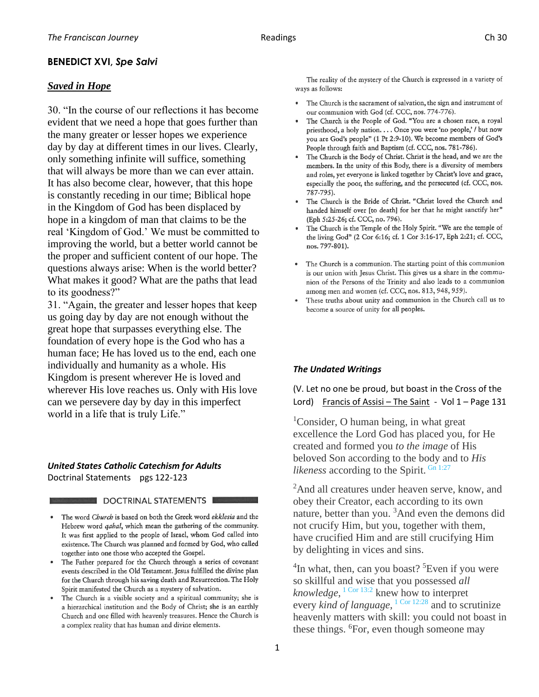# **BENEDICT XVI,** *Spe Salvi*

## *Saved in Hope*

30. "In the course of our reflections it has become evident that we need a hope that goes further than the many greater or lesser hopes we experience day by day at different times in our lives. Clearly, only something infinite will suffice, something that will always be more than we can ever attain. It has also become clear, however, that this hope is constantly receding in our time; Biblical hope in the Kingdom of God has been displaced by hope in a kingdom of man that claims to be the real 'Kingdom of God.' We must be committed to improving the world, but a better world cannot be the proper and sufficient content of our hope. The questions always arise: When is the world better? What makes it good? What are the paths that lead to its goodness?"

31. "Again, the greater and lesser hopes that keep us going day by day are not enough without the great hope that surpasses everything else. The foundation of every hope is the God who has a human face; He has loved us to the end, each one individually and humanity as a whole. His Kingdom is present wherever He is loved and wherever His love reaches us. Only with His love can we persevere day by day in this imperfect world in a life that is truly Life."

## *United States Catholic Catechism for Adults* Doctrinal Statements pgs 122-123

#### DOCTRINAL STATEMENTS

- · The word Church is based on both the Greek word ekklesia and the Hebrew word *qahal*, which mean the gathering of the community. It was first applied to the people of Israel, whom God called into existence. The Church was planned and formed by God, who called together into one those who accepted the Gospel.
- The Father prepared for the Church through a series of covenant events described in the Old Testament. Jesus fulfilled the divine plan for the Church through his saving death and Resurrection. The Holy Spirit manifested the Church as a mystery of salvation.
- The Church is a visible society and a spiritual community; she is a hierarchical institution and the Body of Christ; she is an earthly Church and one filled with heavenly treasures. Hence the Church is a complex reality that has human and divine elements.

The reality of the mystery of the Church is expressed in a variety of ways as follows:

- The Church is the sacrament of salvation, the sign and instrument of our communion with God (cf. CCC, nos. 774-776).
- The Church is the People of God. "You are a chosen race, a royal priesthood, a holy nation. . . . Once you were 'no people,' / but now you are God's people" (1 Pt 2:9-10). We become members of God's People through faith and Baptism (cf. CCC, nos. 781-786).
- The Church is the Body of Christ. Christ is the head, and we are the members. In the unity of this Body, there is a diversity of members and roles, yet everyone is linked together by Christ's love and grace, especially the poor, the suffering, and the persecuted (cf. CCC, nos. 787-795).
- The Church is the Bride of Christ. "Christ loved the Church and handed himself over [to death] for her that he might sanctify her" (Eph 5:25-26; cf. CCC, no. 796).
- The Church is the Temple of the Holy Spirit. "We are the temple of the living God" (2 Cor 6:16; cf. 1 Cor 3:16-17, Eph 2:21; cf. CCC, nos. 797-801).
- The Church is a communion. The starting point of this communion is our union with Jesus Christ. This gives us a share in the communion of the Persons of the Trinity and also leads to a communion among men and women (cf. CCC, nos. 813, 948, 959).
- These truths about unity and communion in the Church call us to become a source of unity for all peoples.

### *The Undated Writings*

(V. Let no one be proud, but boast in the Cross of the Lord) Francis of Assisi – The Saint - Vol  $1$  – Page 131

<sup>1</sup>Consider, O human being, in what great excellence the Lord God has placed you, for He created and formed you *to the image* of His beloved Son according to the body and to *His likeness* according to the Spirit.  $\frac{Gn \cdot 1:27}{Gn \cdot 1:27}$ 

<sup>2</sup>And all creatures under heaven serve, know, and obey their Creator, each according to its own nature, better than you.<sup>3</sup>And even the demons did not crucify Him, but you, together with them, have crucified Him and are still crucifying Him by delighting in vices and sins.

<sup>4</sup>In what, then, can you boast? <sup>5</sup>Even if you were so skillful and wise that you possessed *all knowledge*, 1 Cor 13:2 knew how to interpret every *kind of language*, <sup>1 Cor 12:28</sup> and to scrutinize heavenly matters with skill: you could not boast in these things. <sup>6</sup>For, even though someone may